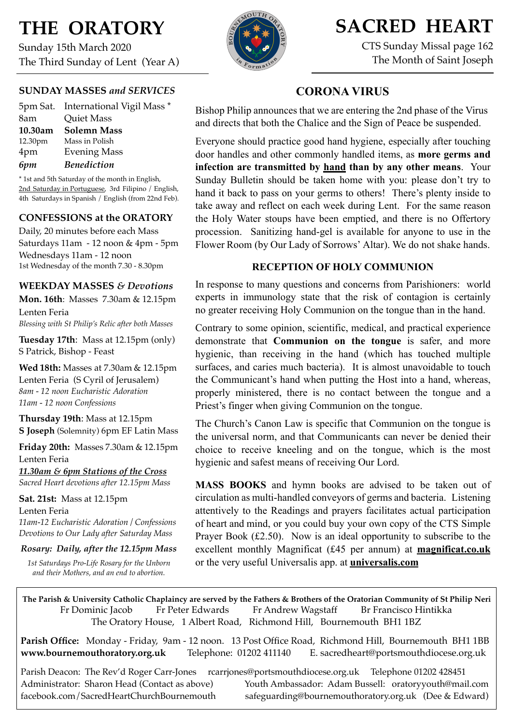# **THE ORATORY**

Sunday 15th March 2020 The Third Sunday of Lent (Year A)

#### **SUNDAY MASSES** *and SERVICES*

|         | 5pm Sat. International Vigil Mass * |
|---------|-------------------------------------|
| 8am     | <b>Quiet Mass</b>                   |
| 10.30am | <b>Solemn Mass</b>                  |
| 12.30pm | Mass in Polish                      |
| 4pm     | <b>Evening Mass</b>                 |
| 6pm     | <b>Benediction</b>                  |

\* 1st and 5th Saturday of the month in English, 2nd Saturday in Portuguese, 3rd Filipino / English, 4th Saturdays in Spanish / English (from 22nd Feb).

#### **CONFESSIONS at the ORATORY**

Daily, 20 minutes before each Mass Saturdays 11am - 12 noon & 4pm - 5pm Wednesdays 11am - 12 noon 1st Wednesday of the month 7.30 - 8.30pm

#### **WEEKDAY MASSES** *& Devotions*

**Mon. 16th**: Masses 7.30am & 12.15pm Lenten Feria *Blessing with St Philip's Relic after both Masses*

**Tuesday 17th**: Mass at 12.15pm (only) S Patrick, Bishop - Feast

**Wed 18th:** Masses at 7.30am & 12.15pm Lenten Feria (S Cyril of Jerusalem) *8am - 12 noon Eucharistic Adoration 11am - 12 noon Confessions*

**Thursday 19th**: Mass at 12.15pm **S Joseph** (Solemnity) 6pm EF Latin Mass

**Friday 20th:** Masses 7.30am & 12.15pm Lenten Feria

*11.30am & 6pm Stations of the Cross Sacred Heart devotions after 12.15pm Mass*

**Sat. 21st:** Mass at 12.15pm Lenten Feria *11am-12 Eucharistic Adoration / Confessions Devotions to Our Lady after Saturday Mass*

#### *Rosary: Daily, after the 12.15pm Mass*

*1st Saturdays Pro-Life Rosary for the Unborn and their Mothers, and an end to abortion.*



## **SACRED HEART**

CTS Sunday Missal page 162 The Month of Saint Joseph

#### **CORONA VIRUS**

Bishop Philip announces that we are entering the 2nd phase of the Virus and directs that both the Chalice and the Sign of Peace be suspended.

Everyone should practice good hand hygiene, especially after touching door handles and other commonly handled items, as **more germs and infection are transmitted by hand than by any other means**. Your Sunday Bulletin should be taken home with you: please don't try to hand it back to pass on your germs to others! There's plenty inside to take away and reflect on each week during Lent. For the same reason the Holy Water stoups have been emptied, and there is no Offertory procession. Sanitizing hand-gel is available for anyone to use in the Flower Room (by Our Lady of Sorrows' Altar). We do not shake hands.

#### **RECEPTION OF HOLY COMMUNION**

In response to many questions and concerns from Parishioners: world experts in immunology state that the risk of contagion is certainly no greater receiving Holy Communion on the tongue than in the hand.

Contrary to some opinion, scientific, medical, and practical experience demonstrate that **Communion on the tongue** is safer, and more hygienic, than receiving in the hand (which has touched multiple surfaces, and caries much bacteria). It is almost unavoidable to touch the Communicant's hand when putting the Host into a hand, whereas, properly ministered, there is no contact between the tongue and a Priest's finger when giving Communion on the tongue.

The Church's Canon Law is specific that Communion on the tongue is the universal norm, and that Communicants can never be denied their choice to receive kneeling and on the tongue, which is the most hygienic and safest means of receiving Our Lord.

**MASS BOOKS** and hymn books are advised to be taken out of circulation as multi-handled conveyors of germs and bacteria. Listening attentively to the Readings and prayers facilitates actual participation of heart and mind, or you could buy your own copy of the CTS Simple Prayer Book (£2.50). Now is an ideal opportunity to subscribe to the excellent monthly Magnificat (£45 per annum) at **magnificat.co.uk** or the very useful Universalis app. at **[universalis.com](http://universalis.com)**

**The Parish & University Catholic Chaplaincy are served by the Fathers & Brothers of the Oratorian Community of St Philip Neri**  Fr Dominic Jacob Fr Peter Edwards Fr Andrew Wagstaff Br Francisco Hintikka The Oratory House, 1 Albert Road, Richmond Hill, Bournemouth BH1 1BZ

**Parish Office:** Monday - Friday, 9am - 12 noon. 13 Post Office Road, Richmond Hill, Bournemouth BH1 1BB **[www.bournemouthoratory.org.uk](http://www.bournemoithoratory.org.uk)** Telephone: 01202 411140 E. [sacredheart@portsmouthdiocese.org.uk](mailto:sacredheart@portsmouthdiocese.org.uk)

Parish Deacon: The Rev'd Roger Carr-Jones [rcarrjones@portsmouthdiocese.org.uk](mailto:rcarrjones@portsmouthdiocese.org.uk) Telephone 01202 428451 Administrator: Sharon Head (Contact as above) Youth Ambassador: Adam Bussell: [oratoryyouth@mail.com](http://oratoryyouth.mail.com) [facebook.com/SacredHeartChurchBournemouth](http://facebook.com/SaccredHeartChurchBournemouth) [safeguarding@bournemouthoratory.org.uk](mailto:safeguarding@bournemouthoratory.org.uk) (Dee & Edward)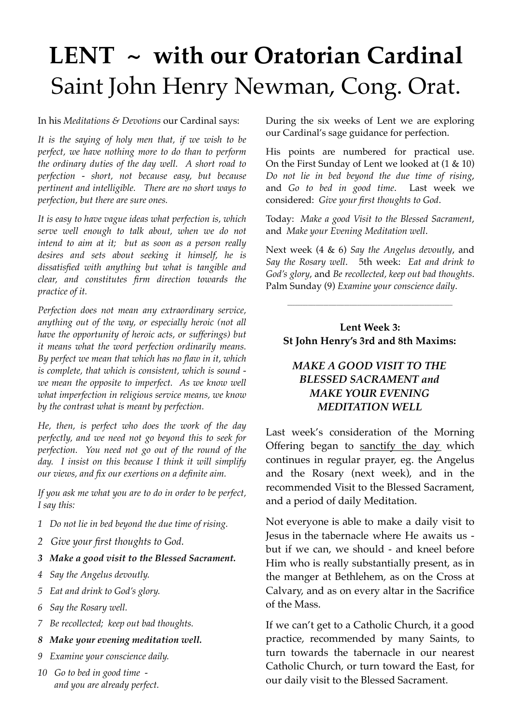# **LENT ~ with our Oratorian Cardinal** Saint John Henry Newman, Cong. Orat.

In his *Meditations & Devotions* our Cardinal says:

*It is the saying of holy men that, if we wish to be perfect, we have nothing more to do than to perform the ordinary duties of the day well. A short road to perfection - short, not because easy, but because pertinent and intelligible. There are no short ways to perfection, but there are sure ones.*

*It is easy to have vague ideas what perfection is, which serve well enough to talk about, when we do not intend to aim at it; but as soon as a person really desires and sets about seeking it himself, he is dissatisfied with anything but what is tangible and clear, and constitutes firm direction towards the practice of it.*

*Perfection does not mean any extraordinary service, anything out of the way, or especially heroic (not all have the opportunity of heroic acts, or sufferings) but it means what the word perfection ordinarily means. By perfect we mean that which has no flaw in it, which is complete, that which is consistent, which is sound we mean the opposite to imperfect. As we know well what imperfection in religious service means, we know by the contrast what is meant by perfection.*

*He, then, is perfect who does the work of the day perfectly, and we need not go beyond this to seek for perfection. You need not go out of the round of the day. I insist on this because I think it will simplify our views, and fix our exertions on a definite aim.*

*If you ask me what you are to do in order to be perfect, I say this:*

- *1 Do not lie in bed beyond the due time of rising.*
- *2 Give your first thoughts to God.*
- *3 Make a good visit to the Blessed Sacrament.*
- *4 Say the Angelus devoutly.*
- *5 Eat and drink to God's glory.*
- *6 Say the Rosary well.*
- *7 Be recollected; keep out bad thoughts.*
- *8 Make your evening meditation well.*
- *9 Examine your conscience daily.*
- *10 Go to bed in good time and you are already perfect.*

During the six weeks of Lent we are exploring our Cardinal's sage guidance for perfection.

His points are numbered for practical use. On the First Sunday of Lent we looked at (1 & 10) *Do not lie in bed beyond the due time of rising*, and *Go to bed in good time*. Last week we considered: *Give your first thoughts to God*.

Today: *Make a good Visit to the Blessed Sacrament*, and *Make your Evening Meditation well*.

Next week (4 & 6) *Say the Angelus devoutly*, and *Say the Rosary well*. 5th week: *Eat and drink to God's glory*, and *Be recollected, keep out bad thoughts*. Palm Sunday (9) *Examine your conscience daily*.

#### **Lent Week 3: St John Henry's 3rd and 8th Maxims:**

\_\_\_\_\_\_\_\_\_\_\_\_\_\_\_\_\_\_\_\_\_\_\_\_\_\_\_\_\_\_\_\_\_\_\_\_\_\_\_\_\_\_\_\_\_\_\_\_\_\_\_\_\_\_\_\_\_\_\_\_\_\_\_\_

#### *MAKE A GOOD VISIT TO THE BLESSED SACRAMENT and MAKE YOUR EVENING MEDITATION WELL*

Last week's consideration of the Morning Offering began to sanctify the day which continues in regular prayer, eg. the Angelus and the Rosary (next week), and in the recommended Visit to the Blessed Sacrament, and a period of daily Meditation.

Not everyone is able to make a daily visit to Jesus in the tabernacle where He awaits us but if we can, we should - and kneel before Him who is really substantially present, as in the manger at Bethlehem, as on the Cross at Calvary, and as on every altar in the Sacrifice of the Mass.

If we can't get to a Catholic Church, it a good practice, recommended by many Saints, to turn towards the tabernacle in our nearest Catholic Church, or turn toward the East, for our daily visit to the Blessed Sacrament.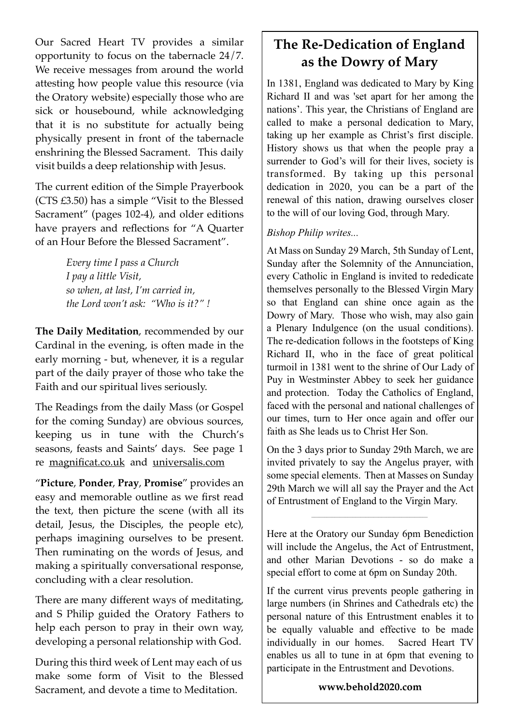Our Sacred Heart TV provides a similar opportunity to focus on the tabernacle 24/7. We receive messages from around the world attesting how people value this resource (via the Oratory website) especially those who are sick or housebound, while acknowledging that it is no substitute for actually being physically present in front of the tabernacle enshrining the Blessed Sacrament. This daily visit builds a deep relationship with Jesus.

The current edition of the Simple Prayerbook (CTS £3.50) has a simple "Visit to the Blessed Sacrament" (pages 102-4), and older editions have prayers and reflections for "A Quarter of an Hour Before the Blessed Sacrament".

> *Every time I pass a Church I pay a little Visit, so when, at last, I'm carried in, the Lord won't ask: "Who is it?" !*

**The Daily Meditation**, recommended by our Cardinal in the evening, is often made in the early morning - but, whenever, it is a regular part of the daily prayer of those who take the Faith and our spiritual lives seriously.

The Readings from the daily Mass (or Gospel for the coming Sunday) are obvious sources, keeping us in tune with the Church's seasons, feasts and Saints' days. See page 1 re [magnificat.co.uk](http://magnificat.co.uk) and [universalis.com](http://universalis.com)

"**Picture**, **Ponder**, **Pray**, **Promise**" provides an easy and memorable outline as we first read the text, then picture the scene (with all its detail, Jesus, the Disciples, the people etc), perhaps imagining ourselves to be present. Then ruminating on the words of Jesus, and making a spiritually conversational response, concluding with a clear resolution.

There are many different ways of meditating, and S Philip guided the Oratory Fathers to help each person to pray in their own way, developing a personal relationship with God.

During this third week of Lent may each of us make some form of Visit to the Blessed Sacrament, and devote a time to Meditation.

## **The Re-Dedication of England as the Dowry of Mary**

In 1381, England was dedicated to Mary by King Richard II and was 'set apart for her among the nations'. This year, the Christians of England are called to make a personal dedication to Mary, taking up her example as Christ's first disciple. History shows us that when the people pray a surrender to God's will for their lives, society is transformed. By taking up this personal dedication in 2020, you can be a part of the renewal of this nation, drawing ourselves closer to the will of our loving God, through Mary.

#### *Bishop Philip writes...*

At Mass on Sunday 29 March, 5th Sunday of Lent, Sunday after the Solemnity of the Annunciation, every Catholic in England is invited to rededicate themselves personally to the Blessed Virgin Mary so that England can shine once again as the Dowry of Mary. Those who wish, may also gain a Plenary Indulgence (on the usual conditions). The re-dedication follows in the footsteps of King Richard II, who in the face of great political turmoil in 1381 went to the shrine of Our Lady of Puy in Westminster Abbey to seek her guidance and protection. Today the Catholics of England, faced with the personal and national challenges of our times, turn to Her once again and offer our faith as She leads us to Christ Her Son.

On the 3 days prior to Sunday 29th March, we are invited privately to say the Angelus prayer, with some special elements. Then at Masses on Sunday 29th March we will all say the Prayer and the Act of Entrustment of England to the Virgin Mary.

Here at the Oratory our Sunday 6pm Benediction will include the Angelus, the Act of Entrustment, and other Marian Devotions - so do make a special effort to come at 6pm on Sunday 20th.

 $\mathcal{L}_\text{max}$  and  $\mathcal{L}_\text{max}$  and  $\mathcal{L}_\text{max}$  and  $\mathcal{L}_\text{max}$ 

If the current virus prevents people gathering in large numbers (in Shrines and Cathedrals etc) the personal nature of this Entrustment enables it to be equally valuable and effective to be made individually in our homes. Sacred Heart TV enables us all to tune in at 6pm that evening to participate in the Entrustment and Devotions.

#### **www.behold2020.com**